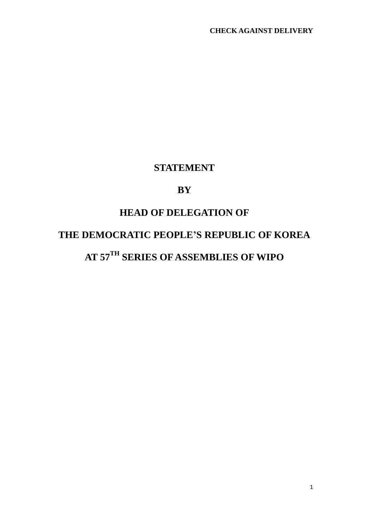### **STATEMENT**

### **BY**

### **HEAD OF DELEGATION OF**

# **THE DEMOCRATIC PEOPLE'S REPUBLIC OF KOREA**

## **AT 57TH SERIES OF ASSEMBLIES OF WIPO**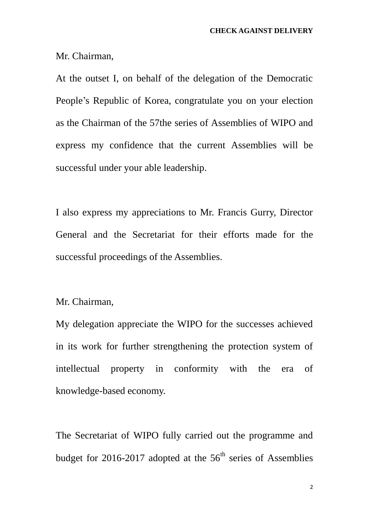Mr. Chairman,

At the outset I, on behalf of the delegation of the Democratic People's Republic of Korea, congratulate you on your election as the Chairman of the 57the series of Assemblies of WIPO and express my confidence that the current Assemblies will be successful under your able leadership.

I also express my appreciations to Mr. Francis Gurry, Director General and the Secretariat for their efforts made for the successful proceedings of the Assemblies.

Mr. Chairman,

My delegation appreciate the WIPO for the successes achieved in its work for further strengthening the protection system of intellectual property in conformity with the era of knowledge-based economy.

The Secretariat of WIPO fully carried out the programme and budget for 2016-2017 adopted at the  $56<sup>th</sup>$  series of Assemblies

2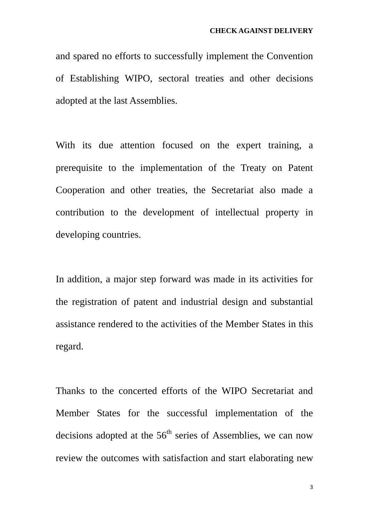and spared no efforts to successfully implement the Convention of Establishing WIPO, sectoral treaties and other decisions adopted at the last Assemblies.

With its due attention focused on the expert training, a prerequisite to the implementation of the Treaty on Patent Cooperation and other treaties, the Secretariat also made a contribution to the development of intellectual property in developing countries.

In addition, a major step forward was made in its activities for the registration of patent and industrial design and substantial assistance rendered to the activities of the Member States in this regard.

Thanks to the concerted efforts of the WIPO Secretariat and Member States for the successful implementation of the decisions adopted at the  $56<sup>th</sup>$  series of Assemblies, we can now review the outcomes with satisfaction and start elaborating new

3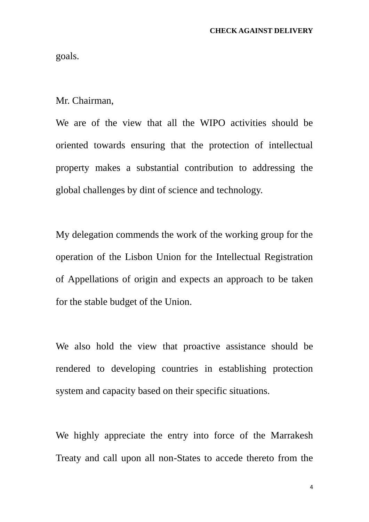goals.

Mr. Chairman,

We are of the view that all the WIPO activities should be oriented towards ensuring that the protection of intellectual property makes a substantial contribution to addressing the global challenges by dint of science and technology.

My delegation commends the work of the working group for the operation of the Lisbon Union for the Intellectual Registration of Appellations of origin and expects an approach to be taken for the stable budget of the Union.

We also hold the view that proactive assistance should be rendered to developing countries in establishing protection system and capacity based on their specific situations.

We highly appreciate the entry into force of the Marrakesh Treaty and call upon all non-States to accede thereto from the

4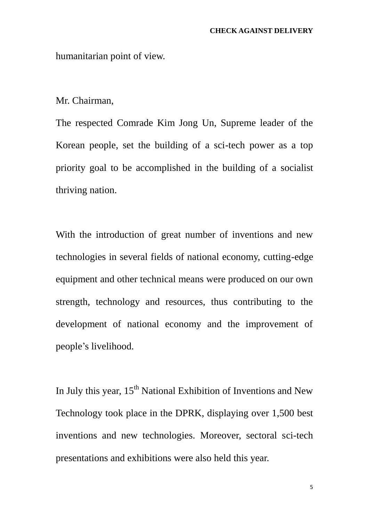humanitarian point of view.

Mr. Chairman,

The respected Comrade Kim Jong Un, Supreme leader of the Korean people, set the building of a sci-tech power as a top priority goal to be accomplished in the building of a socialist thriving nation.

With the introduction of great number of inventions and new technologies in several fields of national economy, cutting-edge equipment and other technical means were produced on our own strength, technology and resources, thus contributing to the development of national economy and the improvement of people's livelihood.

In July this year, 15<sup>th</sup> National Exhibition of Inventions and New Technology took place in the DPRK, displaying over 1,500 best inventions and new technologies. Moreover, sectoral sci-tech presentations and exhibitions were also held this year.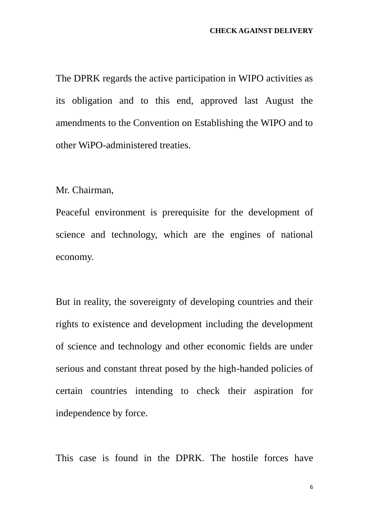The DPRK regards the active participation in WIPO activities as its obligation and to this end, approved last August the amendments to the Convention on Establishing the WIPO and to other WiPO-administered treaties.

Mr. Chairman,

Peaceful environment is prerequisite for the development of science and technology, which are the engines of national economy.

But in reality, the sovereignty of developing countries and their rights to existence and development including the development of science and technology and other economic fields are under serious and constant threat posed by the high-handed policies of certain countries intending to check their aspiration for independence by force.

This case is found in the DPRK. The hostile forces have